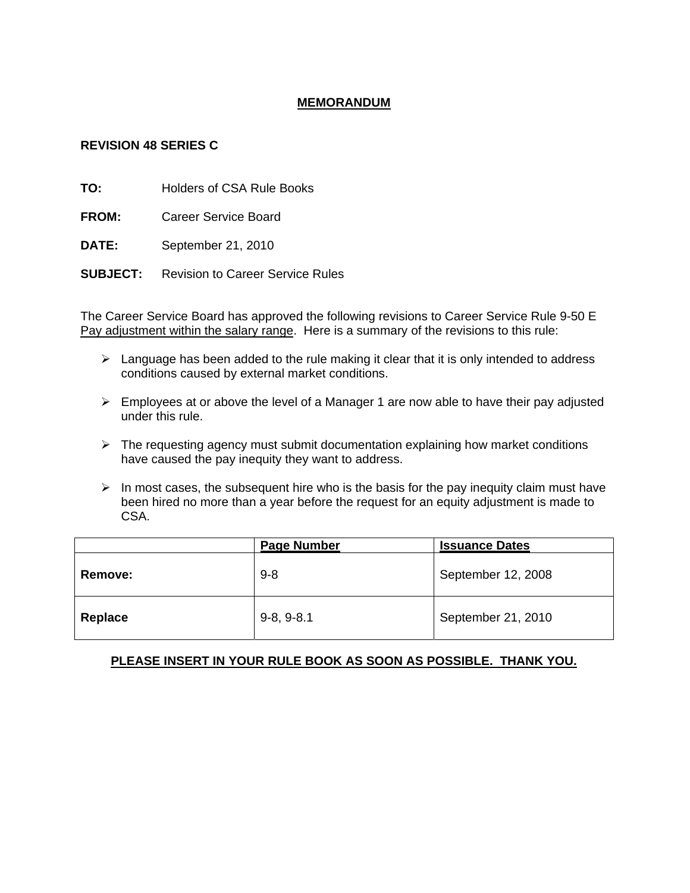## **MEMORANDUM**

## **REVISION 48 SERIES C**

**TO:** Holders of CSA Rule Books

**FROM:** Career Service Board

**DATE:** September 21, 2010

**SUBJECT:** Revision to Career Service Rules

The Career Service Board has approved the following revisions to Career Service Rule 9-50 E Pay adjustment within the salary range. Here is a summary of the revisions to this rule:

- $\triangleright$  Language has been added to the rule making it clear that it is only intended to address conditions caused by external market conditions.
- $\triangleright$  Employees at or above the level of a Manager 1 are now able to have their pay adjusted under this rule.
- $\triangleright$  The requesting agency must submit documentation explaining how market conditions have caused the pay inequity they want to address.
- $\triangleright$  In most cases, the subsequent hire who is the basis for the pay inequity claim must have been hired no more than a year before the request for an equity adjustment is made to CSA.

|                | <b>Page Number</b> | <b>Issuance Dates</b> |
|----------------|--------------------|-----------------------|
| <b>Remove:</b> | $9 - 8$            | September 12, 2008    |
| Replace        | $9-8, 9-8.1$       | September 21, 2010    |

## **PLEASE INSERT IN YOUR RULE BOOK AS SOON AS POSSIBLE. THANK YOU.**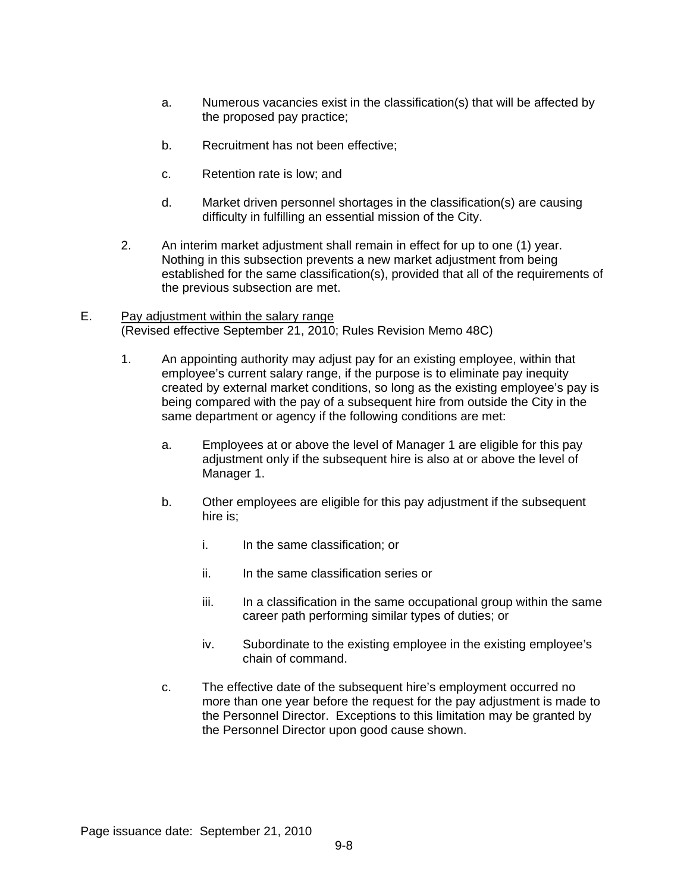- a. Numerous vacancies exist in the classification(s) that will be affected by the proposed pay practice;
- b. Recruitment has not been effective;
- c. Retention rate is low; and
- d. Market driven personnel shortages in the classification(s) are causing difficulty in fulfilling an essential mission of the City.
- 2. An interim market adjustment shall remain in effect for up to one (1) year. Nothing in this subsection prevents a new market adjustment from being established for the same classification(s), provided that all of the requirements of the previous subsection are met.
- E. Pay adjustment within the salary range (Revised effective September 21, 2010; Rules Revision Memo 48C)
	- 1. An appointing authority may adjust pay for an existing employee, within that employee's current salary range, if the purpose is to eliminate pay inequity created by external market conditions, so long as the existing employee's pay is being compared with the pay of a subsequent hire from outside the City in the same department or agency if the following conditions are met:
		- a. Employees at or above the level of Manager 1 are eligible for this pay adjustment only if the subsequent hire is also at or above the level of Manager 1.
		- b. Other employees are eligible for this pay adjustment if the subsequent hire is;
			- i. In the same classification; or
			- ii. In the same classification series or
			- iii. In a classification in the same occupational group within the same career path performing similar types of duties; or
			- iv. Subordinate to the existing employee in the existing employee's chain of command.
		- c. The effective date of the subsequent hire's employment occurred no more than one year before the request for the pay adjustment is made to the Personnel Director. Exceptions to this limitation may be granted by the Personnel Director upon good cause shown.